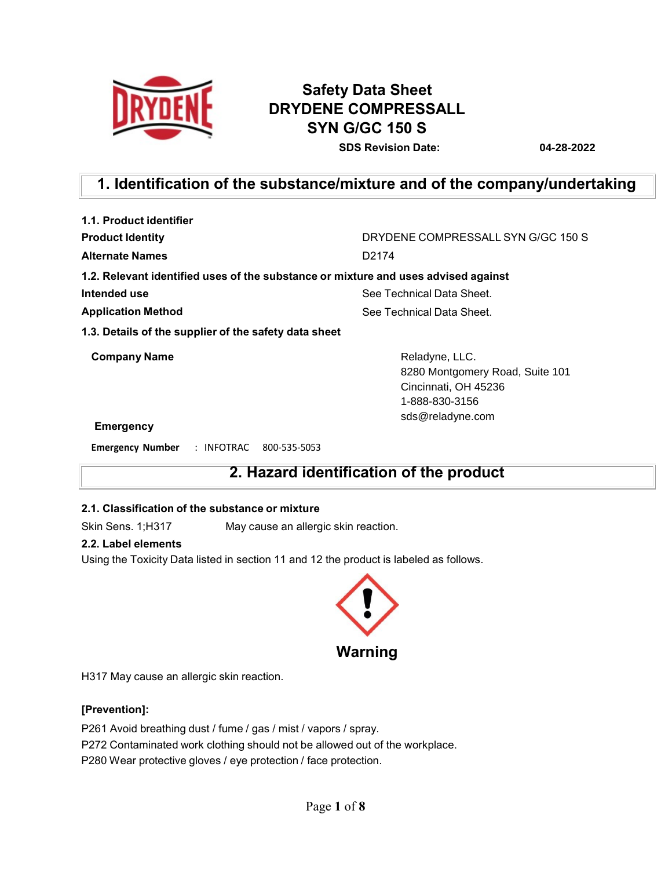

# **Safety Data Sheet DRYDENE COMPRESSALL SYN G/GC 150 S**

**SDS Revision Date: 04-28-2022**

# **1. Identification of the substance/mixture and of the company/undertaking**

| 1.1. Product identifier                                                            |                                                                                                                 |  |  |
|------------------------------------------------------------------------------------|-----------------------------------------------------------------------------------------------------------------|--|--|
| <b>Product Identity</b>                                                            | DRYDENE COMPRESSALL SYN G/GC 150 S                                                                              |  |  |
| <b>Alternate Names</b>                                                             | D <sub>2174</sub>                                                                                               |  |  |
| 1.2. Relevant identified uses of the substance or mixture and uses advised against |                                                                                                                 |  |  |
| Intended use                                                                       | See Technical Data Sheet.                                                                                       |  |  |
| <b>Application Method</b>                                                          | See Technical Data Sheet.                                                                                       |  |  |
| 1.3. Details of the supplier of the safety data sheet                              |                                                                                                                 |  |  |
| <b>Company Name</b>                                                                | Reladyne, LLC.<br>8280 Montgomery Road, Suite 101<br>Cincinnati, OH 45236<br>1-888-830-3156<br>sds@reladyne.com |  |  |
| Emorgancy                                                                          |                                                                                                                 |  |  |

### **Emergency**

**Emergency Number** : INFOTRAC 800-535-5053

# **2. Hazard identification of the product**

### **2.1. Classification of the substance or mixture**

Skin Sens. 1;H317 May cause an allergic skin reaction.

# **2.2. Label elements**

Using the Toxicity Data listed in section 11 and 12 the product is labeled as follows.



H317 May cause an allergic skin reaction.

## **[Prevention]:**

P261 Avoid breathing dust / fume / gas / mist / vapors / spray. P272 Contaminated work clothing should not be allowed out of the workplace. P280 Wear protective gloves / eye protection / face protection.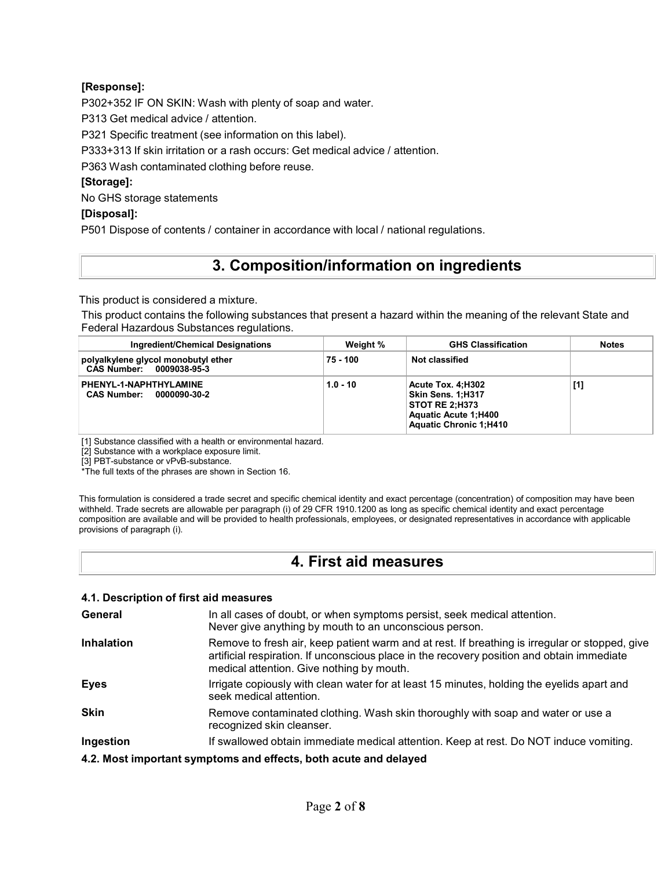# **[Response]:**

P302+352 IF ON SKIN: Wash with plenty of soap and water.

P313 Get medical advice / attention.

P321 Specific treatment (see information on this label).

P333+313 If skin irritation or a rash occurs: Get medical advice / attention.

P363 Wash contaminated clothing before reuse.

# **[Storage]:**

No GHS storage statements

# **[Disposal]:**

P501 Dispose of contents / container in accordance with local / national regulations.

# **3. Composition/information on ingredients**

This product is considered a mixture.

This product contains the following substances that present a hazard within the meaning of the relevant State and Federal Hazardous Substances regulations.

| Ingredient/Chemical Designations                                | Weight %   | <b>GHS Classification</b>                                                                                                       | <b>Notes</b> |
|-----------------------------------------------------------------|------------|---------------------------------------------------------------------------------------------------------------------------------|--------------|
| polyalkylene glycol monobutyl ether<br>CAS Number: 0009038-95-3 | 75 - 100   | Not classified                                                                                                                  |              |
| PHENYL-1-NAPHTHYLAMINE<br><b>CAS Number:</b><br>0000090-30-2    | $1.0 - 10$ | Acute Tox. 4:H302<br>Skin Sens. 1:H317<br><b>STOT RE 2:H373</b><br><b>Aquatic Acute 1:H400</b><br><b>Aquatic Chronic 1:H410</b> | [1]          |

[1] Substance classified with a health or environmental hazard.

[2] Substance with a workplace exposure limit.

[3] PBT-substance or vPvB-substance.

\*The full texts of the phrases are shown in Section 16.

This formulation is considered a trade secret and specific chemical identity and exact percentage (concentration) of composition may have been withheld. Trade secrets are allowable per paragraph (i) of 29 CFR 1910.1200 as long as specific chemical identity and exact percentage composition are available and will be provided to health professionals, employees, or designated representatives in accordance with applicable provisions of paragraph (i).

# **4. First aid measures**

# **4.1. Description of first aid measures**

| General           | In all cases of doubt, or when symptoms persist, seek medical attention.<br>Never give anything by mouth to an unconscious person.                                                                                                        |
|-------------------|-------------------------------------------------------------------------------------------------------------------------------------------------------------------------------------------------------------------------------------------|
| <b>Inhalation</b> | Remove to fresh air, keep patient warm and at rest. If breathing is irregular or stopped, give<br>artificial respiration. If unconscious place in the recovery position and obtain immediate<br>medical attention. Give nothing by mouth. |
| <b>Eyes</b>       | Irrigate copiously with clean water for at least 15 minutes, holding the eyelids apart and<br>seek medical attention.                                                                                                                     |
| <b>Skin</b>       | Remove contaminated clothing. Wash skin thoroughly with soap and water or use a<br>recognized skin cleanser.                                                                                                                              |
| Ingestion         | If swallowed obtain immediate medical attention. Keep at rest. Do NOT induce vomiting.                                                                                                                                                    |
|                   | 4.2. Most important symptoms and effects, both acute and delayed                                                                                                                                                                          |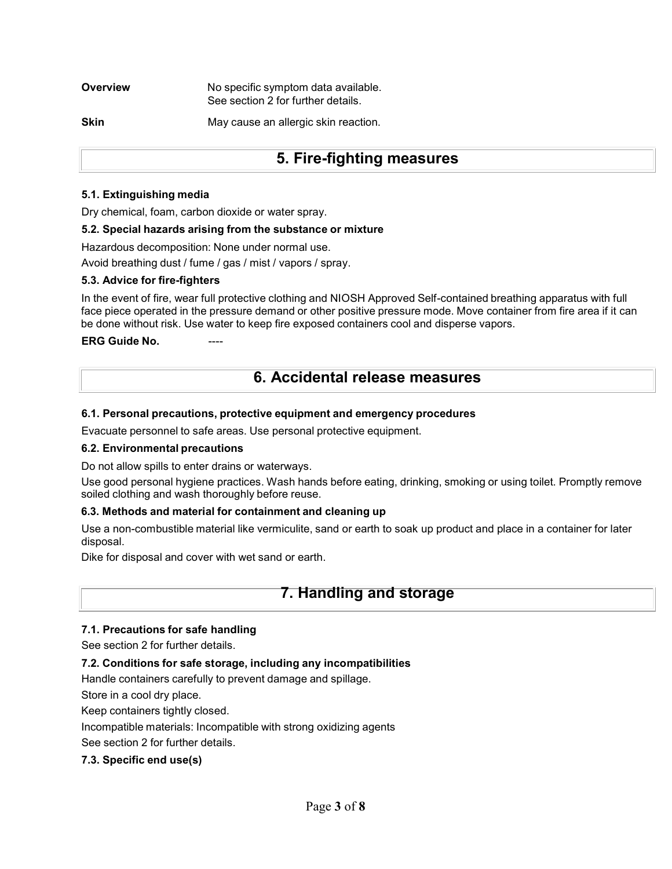**Overview Mo specific symptom data available.** See section 2 for further details.

**Skin** May cause an allergic skin reaction.

# **5. Fire-fighting measures**

### **5.1. Extinguishing media**

Dry chemical, foam, carbon dioxide or water spray.

### **5.2. Special hazards arising from the substance or mixture**

Hazardous decomposition: None under normal use.

Avoid breathing dust / fume / gas / mist / vapors / spray.

### **5.3. Advice for fire-fighters**

In the event of fire, wear full protective clothing and NIOSH Approved Self-contained breathing apparatus with full face piece operated in the pressure demand or other positive pressure mode. Move container from fire area if it can be done without risk. Use water to keep fire exposed containers cool and disperse vapors.

### **ERG** Guide No.

# **6. Accidental release measures**

### **6.1. Personal precautions, protective equipment and emergency procedures**

Evacuate personnel to safe areas. Use personal protective equipment.

## **6.2. Environmental precautions**

Do not allow spills to enter drains or waterways.

Use good personal hygiene practices. Wash hands before eating, drinking, smoking or using toilet. Promptly remove soiled clothing and wash thoroughly before reuse.

## **6.3. Methods and material for containment and cleaning up**

Use a non-combustible material like vermiculite, sand or earth to soak up product and place in a container for later disposal.

Dike for disposal and cover with wet sand or earth.

# **7. Handling and storage**

## **7.1. Precautions for safe handling**

See section 2 for further details.

## **7.2. Conditions for safe storage, including any incompatibilities**

Handle containers carefully to prevent damage and spillage.

Store in a cool dry place.

Keep containers tightly closed.

Incompatible materials: Incompatible with strong oxidizing agents

See section 2 for further details.

## **7.3. Specific end use(s)**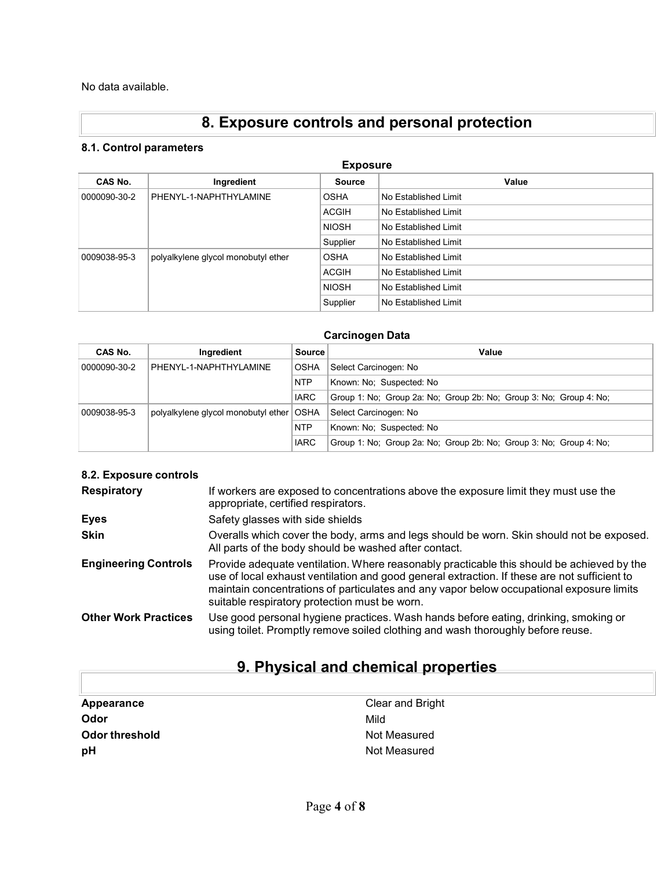No data available.

# **8. Exposure controls and personal protection**

# **8.1. Control parameters**

| <b>Exposure</b> |                                     |               |                      |  |
|-----------------|-------------------------------------|---------------|----------------------|--|
| CAS No.         | Ingredient                          | <b>Source</b> | Value                |  |
| 0000090-30-2    | PHENYL-1-NAPHTHYLAMINE              | <b>OSHA</b>   | No Established Limit |  |
|                 |                                     | <b>ACGIH</b>  | No Established Limit |  |
|                 |                                     | <b>NIOSH</b>  | No Established Limit |  |
|                 |                                     | Supplier      | No Established Limit |  |
| 0009038-95-3    | polyalkylene glycol monobutyl ether | <b>OSHA</b>   | No Established Limit |  |
|                 |                                     | <b>ACGIH</b>  | No Established Limit |  |
|                 |                                     | <b>NIOSH</b>  | No Established Limit |  |
|                 |                                     | Supplier      | No Established Limit |  |

# **Carcinogen Data**

| CAS No.      | Ingredient                                 | <b>Source</b> | Value                                                              |
|--------------|--------------------------------------------|---------------|--------------------------------------------------------------------|
| 0000090-30-2 | PHENYL-1-NAPHTHYLAMINE                     | <b>OSHA</b>   | Select Carcinogen: No                                              |
|              |                                            | <b>NTP</b>    | Known: No: Suspected: No                                           |
|              |                                            | <b>IARC</b>   | Group 1: No: Group 2a: No: Group 2b: No: Group 3: No: Group 4: No: |
| 0009038-95-3 | polyalkylene glycol monobutyl ether   OSHA |               | Select Carcinogen: No                                              |
|              |                                            | <b>NTP</b>    | Known: No: Suspected: No                                           |
|              |                                            | <b>IARC</b>   | Group 1: No: Group 2a: No: Group 2b: No: Group 3: No: Group 4: No: |

### **8.2. Exposure controls**

| <b>Respiratory</b>          | If workers are exposed to concentrations above the exposure limit they must use the<br>appropriate, certified respirators.                                                                                                                                                                                                             |
|-----------------------------|----------------------------------------------------------------------------------------------------------------------------------------------------------------------------------------------------------------------------------------------------------------------------------------------------------------------------------------|
| Eyes                        | Safety glasses with side shields                                                                                                                                                                                                                                                                                                       |
| <b>Skin</b>                 | Overalls which cover the body, arms and legs should be worn. Skin should not be exposed.<br>All parts of the body should be washed after contact.                                                                                                                                                                                      |
| <b>Engineering Controls</b> | Provide adequate ventilation. Where reasonably practicable this should be achieved by the<br>use of local exhaust ventilation and good general extraction. If these are not sufficient to<br>maintain concentrations of particulates and any vapor below occupational exposure limits<br>suitable respiratory protection must be worn. |
| <b>Other Work Practices</b> | Use good personal hygiene practices. Wash hands before eating, drinking, smoking or<br>using toilet. Promptly remove soiled clothing and wash thoroughly before reuse.                                                                                                                                                                 |

# **9. Physical and chemical properties**

| Appearance     | Clear and Bright |
|----------------|------------------|
| Odor           | Mild             |
| Odor threshold | Not Measured     |
| рH             | Not Measured     |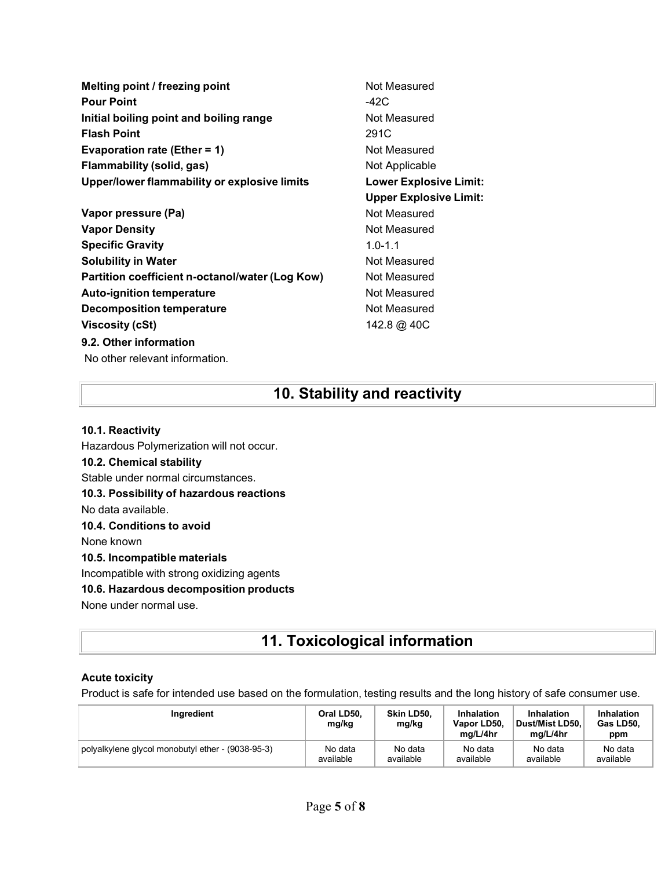**Melting point / freezing point** Not Measured **Pour Point** -42C **Initial boiling point and boiling range Mot Measured Flash Point** 291C **Evaporation rate (Ether = 1)** Not Measured **Flammability (solid, gas)** Not Applicable **Upper/lower flammability or explosive limits Lower Explosive Limit:**

- **Vapor pressure (Pa)** Not Measured **Vapor Density Not Measured** Not Measured **Specific Gravity** 1.0-1.1 **Solubility** in Water **Not Measured** Not Measured **Partition coefficient n-octanol/water (Log Kow) Not Measured Auto-ignition temperature Not Measured** Not Measured **Decomposition temperature** Not Measured **Viscosity (cSt)** 142.8 @ 40C **9.2. Other information** No other relevant information.
- **Upper Explosive Limit:**

# **10. Stability and reactivity**

# **10.1. Reactivity**

Hazardous Polymerization will not occur. **10.2. Chemical stability** Stable under normal circumstances. **10.3. Possibility of hazardous reactions** No data available. **10.4. Conditions to avoid** None known **10.5. Incompatible materials** Incompatible with strong oxidizing agents **10.6. Hazardous decomposition products** None under normal use.

# **11. Toxicological information**

# **Acute toxicity**

Product is safe for intended use based on the formulation, testing results and the long history of safe consumer use.

| Ingredient                                        | Oral LD50.<br>mg/kg | Skin LD50.<br>mg/kg | Inhalation<br>Vapor LD50,<br>ma/L/4hr | Inhalation<br>Dust/Mist LD50.<br>ma/L/4hr | Inhalation<br>Gas LD50.<br>ppm |
|---------------------------------------------------|---------------------|---------------------|---------------------------------------|-------------------------------------------|--------------------------------|
| polyalkylene glycol monobutyl ether - (9038-95-3) | No data             | No data             | No data                               | No data                                   | No data                        |
|                                                   | available           | available           | available                             | available                                 | available                      |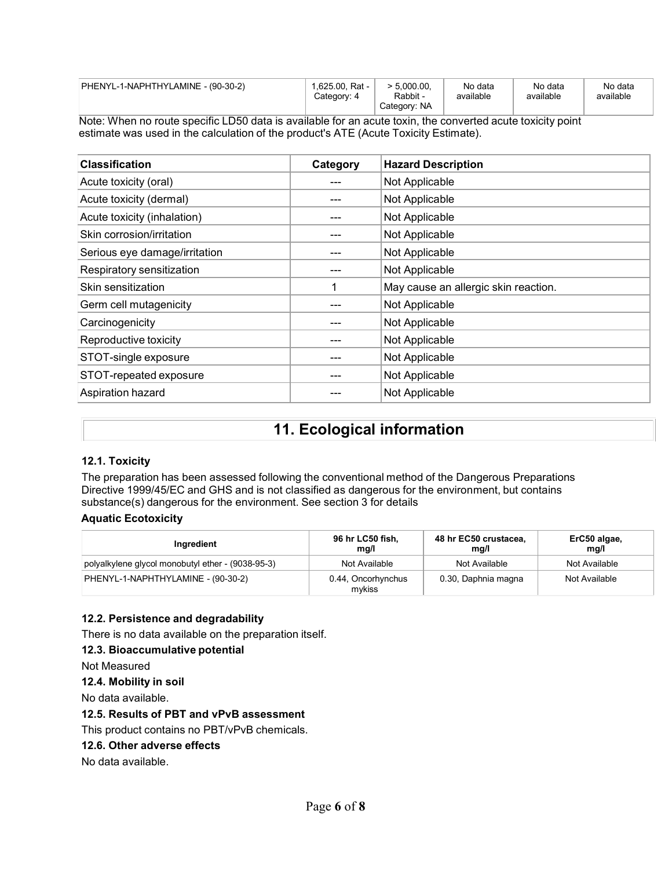| PHENYL-1-NAPHTHYLAMINE - (90-30-2) | 1,625.00, Rat -<br>Category: 4 | $> 5.000.00$ .<br>Rabbit -<br>Category: NA | No data<br>available | No data<br>available | No data<br>available |
|------------------------------------|--------------------------------|--------------------------------------------|----------------------|----------------------|----------------------|
|                                    |                                |                                            |                      |                      |                      |

Note: When no route specific LD50 data is available for an acute toxin, the converted acute toxicity point estimate was used in the calculation of the product's ATE (Acute Toxicity Estimate).

| <b>Classification</b>         | Category | <b>Hazard Description</b>            |
|-------------------------------|----------|--------------------------------------|
| Acute toxicity (oral)         |          | Not Applicable                       |
| Acute toxicity (dermal)       |          | Not Applicable                       |
| Acute toxicity (inhalation)   |          | Not Applicable                       |
| Skin corrosion/irritation     |          | Not Applicable                       |
| Serious eye damage/irritation |          | Not Applicable                       |
| Respiratory sensitization     |          | Not Applicable                       |
| Skin sensitization            |          | May cause an allergic skin reaction. |
| Germ cell mutagenicity        |          | Not Applicable                       |
| Carcinogenicity               |          | Not Applicable                       |
| Reproductive toxicity         |          | Not Applicable                       |
| STOT-single exposure          |          | Not Applicable                       |
| STOT-repeated exposure        |          | Not Applicable                       |
| Aspiration hazard             |          | Not Applicable                       |

# **11. Ecological information**

# **12.1. Toxicity**

The preparation has been assessed following the conventional method of the Dangerous Preparations Directive 1999/45/EC and GHS and is not classified as dangerous for the environment, but contains substance(s) dangerous for the environment. See section 3 for details

## **Aquatic Ecotoxicity**

| Ingredient                                        | 96 hr LC50 fish,<br>mq/l     | 48 hr EC50 crustacea,<br>mq/l | ErC50 algae,<br>mg/l |
|---------------------------------------------------|------------------------------|-------------------------------|----------------------|
| polyalkylene glycol monobutyl ether - (9038-95-3) | Not Available                | Not Available                 | Not Available        |
| PHENYL-1-NAPHTHYLAMINE - (90-30-2)                | 0.44, Oncorhynchus<br>mvkiss | 0.30, Daphnia magna           | Not Available        |

## **12.2. Persistence and degradability**

There is no data available on the preparation itself.

#### **12.3. Bioaccumulative potential**

Not Measured

**12.4. Mobility in soil**

No data available.

## **12.5. Results of PBT and vPvB assessment**

This product contains no PBT/vPvB chemicals.

#### **12.6. Other adverse effects**

No data available.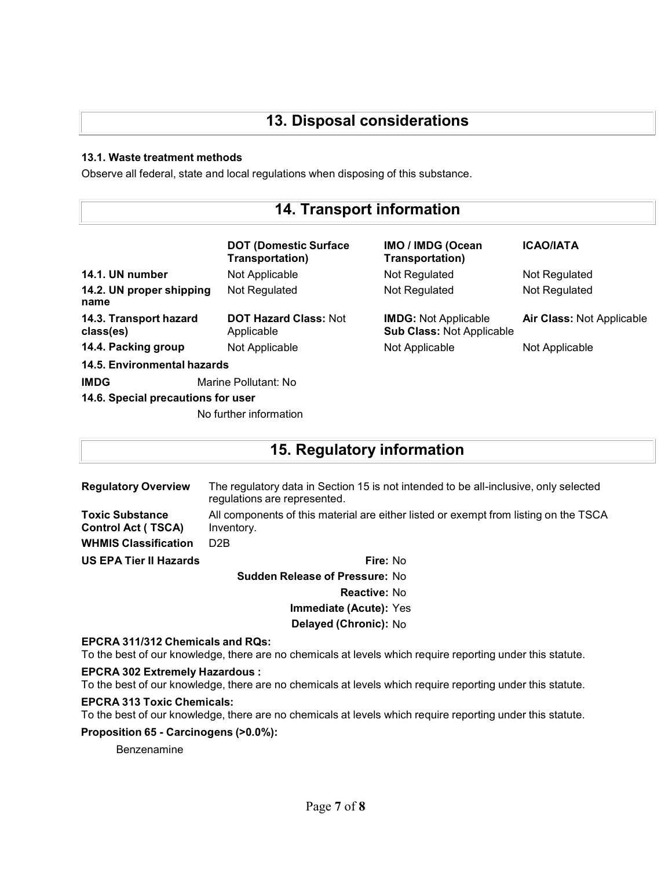# **13. Disposal considerations**

# **13.1. Waste treatment methods**

Observe all federal, state and local regulations when disposing of this substance.

# **14. Transport information**

|                                     | <b>DOT (Domestic Surface)</b><br>Transportation) | IMO / IMDG (Ocean<br><b>Transportation)</b>                     | <b>ICAO/IATA</b>                 |
|-------------------------------------|--------------------------------------------------|-----------------------------------------------------------------|----------------------------------|
| 14.1. UN number                     | Not Applicable                                   | Not Regulated                                                   | Not Regulated                    |
| 14.2. UN proper shipping<br>name    | Not Regulated                                    | Not Regulated                                                   | Not Regulated                    |
| 14.3. Transport hazard<br>class(es) | <b>DOT Hazard Class: Not</b><br>Applicable       | <b>IMDG:</b> Not Applicable<br><b>Sub Class: Not Applicable</b> | <b>Air Class: Not Applicable</b> |
| 14.4. Packing group                 | Not Applicable                                   | Not Applicable                                                  | Not Applicable                   |
| 14.5. Environmental hazards         |                                                  |                                                                 |                                  |
| <b>IMDG</b>                         | Marine Pollutant: No                             |                                                                 |                                  |
| 14.6. Special precautions for user  |                                                  |                                                                 |                                  |
|                                     | No further information                           |                                                                 |                                  |

# **15. Regulatory information**

**Regulatory Overview** The regulatory data in Section 15 is not intended to be all-inclusive, only selected regulations are represented. **Toxic Substance Control Act ( TSCA)** All components of this material are either listed or exempt from listing on the TSCA Inventory. **WHMIS Classification** D2B **US EPA Tier II Hazards Fire:** No

**Sudden Release of Pressure:** No **Reactive:** No **Immediate (Acute):** Yes

**Delayed (Chronic):** No

#### **EPCRA 311/312 Chemicals and RQs:**

To the best of our knowledge, there are no chemicals at levels which require reporting under this statute.

#### **EPCRA 302 Extremely Hazardous :**

To the best of our knowledge, there are no chemicals at levels which require reporting under this statute.

## **EPCRA 313 Toxic Chemicals:**

To the best of our knowledge, there are no chemicals at levels which require reporting under this statute.

## **Proposition 65 - Carcinogens (>0.0%):**

Benzenamine